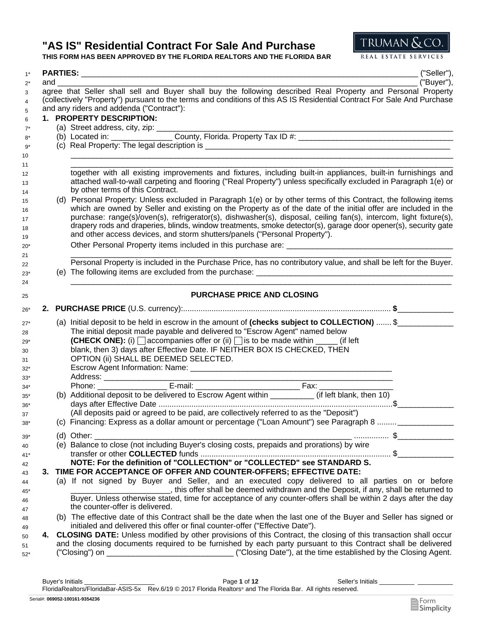# **"AS IS" Residential Contract For Sale And Purchase**

**THIS FORM HAS BEEN APPROVED BY THE FLORIDA REALTORS AND THE FLORIDA BAR**

REAL ESTATE SERVICES

TRUMAN & CO

| and | agree that Seller shall sell and Buyer shall buy the following described Real Property and Personal Property                                                                                                                                                                                                                                                                                                                                                                                                                                            | $($ "Buyer"), |
|-----|---------------------------------------------------------------------------------------------------------------------------------------------------------------------------------------------------------------------------------------------------------------------------------------------------------------------------------------------------------------------------------------------------------------------------------------------------------------------------------------------------------------------------------------------------------|---------------|
|     | (collectively "Property") pursuant to the terms and conditions of this AS IS Residential Contract For Sale And Purchase<br>and any riders and addenda ("Contract"):                                                                                                                                                                                                                                                                                                                                                                                     |               |
|     | 1. PROPERTY DESCRIPTION:                                                                                                                                                                                                                                                                                                                                                                                                                                                                                                                                |               |
|     |                                                                                                                                                                                                                                                                                                                                                                                                                                                                                                                                                         |               |
|     |                                                                                                                                                                                                                                                                                                                                                                                                                                                                                                                                                         |               |
|     |                                                                                                                                                                                                                                                                                                                                                                                                                                                                                                                                                         |               |
|     | together with all existing improvements and fixtures, including built-in appliances, built-in furnishings and<br>attached wall-to-wall carpeting and flooring ("Real Property") unless specifically excluded in Paragraph 1(e) or<br>by other terms of this Contract.                                                                                                                                                                                                                                                                                   |               |
|     | (d) Personal Property: Unless excluded in Paragraph 1(e) or by other terms of this Contract, the following items<br>which are owned by Seller and existing on the Property as of the date of the initial offer are included in the<br>purchase: range(s)/oven(s), refrigerator(s), dishwasher(s), disposal, ceiling fan(s), intercom, light fixture(s),<br>drapery rods and draperies, blinds, window treatments, smoke detector(s), garage door opener(s), security gate<br>and other access devices, and storm shutters/panels ("Personal Property"). |               |
|     |                                                                                                                                                                                                                                                                                                                                                                                                                                                                                                                                                         |               |
|     | Personal Property is included in the Purchase Price, has no contributory value, and shall be left for the Buyer.                                                                                                                                                                                                                                                                                                                                                                                                                                        |               |
|     |                                                                                                                                                                                                                                                                                                                                                                                                                                                                                                                                                         |               |
|     | <b>PURCHASE PRICE AND CLOSING</b>                                                                                                                                                                                                                                                                                                                                                                                                                                                                                                                       |               |
|     |                                                                                                                                                                                                                                                                                                                                                                                                                                                                                                                                                         |               |
|     |                                                                                                                                                                                                                                                                                                                                                                                                                                                                                                                                                         |               |
|     |                                                                                                                                                                                                                                                                                                                                                                                                                                                                                                                                                         |               |
|     | (a) Initial deposit to be held in escrow in the amount of (checks subject to COLLECTION)  \$                                                                                                                                                                                                                                                                                                                                                                                                                                                            |               |
|     | The initial deposit made payable and delivered to "Escrow Agent" named below                                                                                                                                                                                                                                                                                                                                                                                                                                                                            |               |
|     | <b>(CHECK ONE):</b> (i) $\Box$ accompanies offer or (ii) $\Box$ is to be made within $\Box$ (if left<br>blank, then 3) days after Effective Date. IF NEITHER BOX IS CHECKED, THEN<br>OPTION (ii) SHALL BE DEEMED SELECTED.                                                                                                                                                                                                                                                                                                                              |               |
|     |                                                                                                                                                                                                                                                                                                                                                                                                                                                                                                                                                         |               |
|     |                                                                                                                                                                                                                                                                                                                                                                                                                                                                                                                                                         |               |
|     | Address: Note: Note: Note: Note: Note: Note: Note: Note: Note: Note: Note: Note: Note: Note: Note: Note: Note: Note: Note: Note: Note: Note: Note: Note: Note: Note: Note: Note: Note: Note: Note: Note: Note: Note: Note: Not                                                                                                                                                                                                                                                                                                                          |               |
|     | (All deposits paid or agreed to be paid, are collectively referred to as the "Deposit")<br>(c) Financing: Express as a dollar amount or percentage ("Loan Amount") see Paragraph 8                                                                                                                                                                                                                                                                                                                                                                      |               |
|     |                                                                                                                                                                                                                                                                                                                                                                                                                                                                                                                                                         |               |
|     | (a) Uther:<br>(e) Balance to close (not including Buyer's closing costs, prepaids and prorations) by wire<br>transfer as effect COLLEGTER                                                                                                                                                                                                                                                                                                                                                                                                               |               |
|     | NOTE: For the definition of "COLLECTION" or "COLLECTED" see STANDARD S.                                                                                                                                                                                                                                                                                                                                                                                                                                                                                 |               |
|     | 3. TIME FOR ACCEPTANCE OF OFFER AND COUNTER-OFFERS; EFFECTIVE DATE:                                                                                                                                                                                                                                                                                                                                                                                                                                                                                     |               |
|     | (a) If not signed by Buyer and Seller, and an executed copy delivered to all parties on or before                                                                                                                                                                                                                                                                                                                                                                                                                                                       |               |
|     | , this offer shall be deemed withdrawn and the Deposit, if any, shall be returned to<br>Buyer. Unless otherwise stated, time for acceptance of any counter-offers shall be within 2 days after the day                                                                                                                                                                                                                                                                                                                                                  |               |
|     | the counter-offer is delivered.<br>(b) The effective date of this Contract shall be the date when the last one of the Buyer and Seller has signed or                                                                                                                                                                                                                                                                                                                                                                                                    |               |
| 4.  | initialed and delivered this offer or final counter-offer ("Effective Date").<br>CLOSING DATE: Unless modified by other provisions of this Contract, the closing of this transaction shall occur                                                                                                                                                                                                                                                                                                                                                        |               |

Seller's Initials FloridaRealtors/FloridaBar-ASIS-5x Rev.6/19 © 2017 Florida Realtors® and The Florida Bar. All rights reserved. Buyer's Initials \_\_\_\_\_\_\_\_\_ \_\_\_\_\_\_\_\_\_\_ Page **1** of **12**

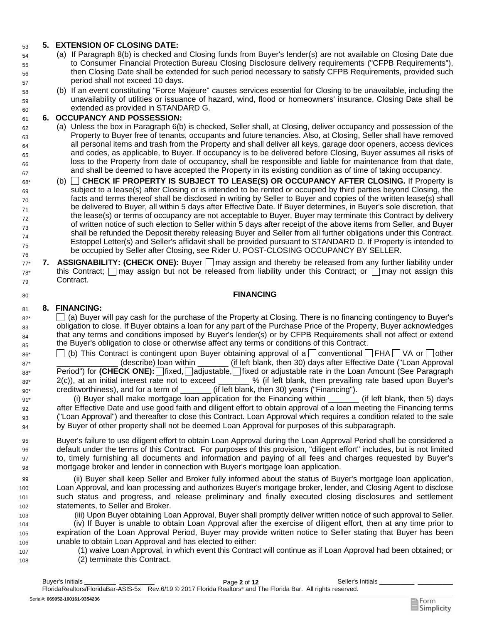## <sup>53</sup>**5. EXTENSION OF CLOSING DATE:**

58 59 60

87\*

- (a) If Paragraph 8(b) is checked and Closing funds from Buyer's lender(s) are not available on Closing Date due to Consumer Financial Protection Bureau Closing Disclosure delivery requirements ("CFPB Requirements"), then Closing Date shall be extended for such period necessary to satisfy CFPB Requirements, provided such period shall not exceed 10 days.
	- (b) If an event constituting "Force Majeure" causes services essential for Closing to be unavailable, including the unavailability of utilities or issuance of hazard, wind, flood or homeowners' insurance, Closing Date shall be extended as provided in STANDARD G.

## <sup>61</sup>**6. OCCUPANCY AND POSSESSION:**

- (a) Unless the box in Paragraph 6(b) is checked, Seller shall, at Closing, deliver occupancy and possession of the Property to Buyer free of tenants, occupants and future tenancies. Also, at Closing, Seller shall have removed all personal items and trash from the Property and shall deliver all keys, garage door openers, access devices and codes, as applicable, to Buyer. If occupancy is to be delivered before Closing, Buyer assumes all risks of loss to the Property from date of occupancy, shall be responsible and liable for maintenance from that date, and shall be deemed to have accepted the Property in its existing condition as of time of taking occupancy.
	- (b) **CHECK IF PROPERTY IS SUBJECT TO LEASE(S) OR OCCUPANCY AFTER CLOSING.** If Property is subject to a lease(s) after Closing or is intended to be rented or occupied by third parties beyond Closing, the facts and terms thereof shall be disclosed in writing by Seller to Buyer and copies of the written lease(s) shall be delivered to Buyer, all within 5 days after Effective Date. If Buyer determines, in Buyer's sole discretion, that the lease(s) or terms of occupancy are not acceptable to Buyer, Buyer may terminate this Contract by delivery of written notice of such election to Seller within 5 days after receipt of the above items from Seller, and Buyer shall be refunded the Deposit thereby releasing Buyer and Seller from all further obligations under this Contract. Estoppel Letter(s) and Seller's affidavit shall be provided pursuant to STANDARD D. If Property is intended to be occupied by Seller after Closing, see Rider U. POST-CLOSING OCCUPANCY BY SELLER.
- **7. ASSIGNABILITY: (CHECK ONE):** Buyer  $\Box$  may assign and thereby be released from any further liability under this Contract;  $\Box$  may assign but not be released from liability under this Contract; or  $\Box$  may not assign this Contract. 77\* 78\* 79

## 80**FINANCING**

## <sup>81</sup>**8. FINANCING:**

- $\Box$  (a) Buyer will pay cash for the purchase of the Property at Closing. There is no financing contingency to Buyer's obligation to close. If Buyer obtains a loan for any part of the Purchase Price of the Property, Buyer acknowledges that any terms and conditions imposed by Buyer's lender(s) or by CFPB Requirements shall not affect or extend the Buyer's obligation to close or otherwise affect any terms or conditions of this Contract.
- $\Box$  (b) This Contract is contingent upon Buyer obtaining approval of a  $\Box$  conventional  $\Box$  FHA  $\Box$  VA or  $\Box$ other \_\_\_\_\_\_\_\_\_\_\_\_\_\_ (describe) loan within \_\_\_\_\_\_\_ (if left blank, then 30) days after Effective Date ("Loan Approval Period") for (CHECK ONE):  $\Box$  fixed,  $\Box$  adjustable,  $\Box$  fixed or adjustable rate in the Loan Amount (See Paragraph 2(c)), at an initial interest rate not to exceed \_\_\_\_\_\_\_ % (if left blank, then prevailing rate based upon Buyer's creditworthiness), and for a term of \_\_\_\_\_\_\_ (if left blank, then 30) years ("Financing").  $86*$ 88\* 89\* 90\*

(i) Buyer shall make mortgage loan application for the Financing within \_\_\_\_\_\_\_ (if left blank, then 5) days after Effective Date and use good faith and diligent effort to obtain approval of a loan meeting the Financing terms ("Loan Approval") and thereafter to close this Contract. Loan Approval which requires a condition related to the sale by Buyer of other property shall not be deemed Loan Approval for purposes of this subparagraph. 91\* 92 93 94

- Buyer's failure to use diligent effort to obtain Loan Approval during the Loan Approval Period shall be considered a default under the terms of this Contract. For purposes of this provision, "diligent effort" includes, but is not limited to, timely furnishing all documents and information and paying of all fees and charges requested by Buyer's mortgage broker and lender in connection with Buyer's mortgage loan application. 95 96 97 98
- (ii) Buyer shall keep Seller and Broker fully informed about the status of Buyer's mortgage loan application, Loan Approval, and loan processing and authorizes Buyer's mortgage broker, lender, and Closing Agent to disclose such status and progress, and release preliminary and finally executed closing disclosures and settlement statements, to Seller and Broker. 99 100 101 102
- <sup>103</sup> (iii) Upon Buyer obtaining Loan Approval, Buyer shall promptly deliver written notice of such approval to Seller.
- (iv) If Buyer is unable to obtain Loan Approval after the exercise of diligent effort, then at any time prior to expiration of the Loan Approval Period, Buyer may provide written notice to Seller stating that Buyer has been unable to obtain Loan Approval and has elected to either: 104 105 106
- <sup>107</sup> (1) waive Loan Approval, in which event this Contract will continue as if Loan Approval had been obtained; or <sup>108</sup> (2) terminate this Contract.

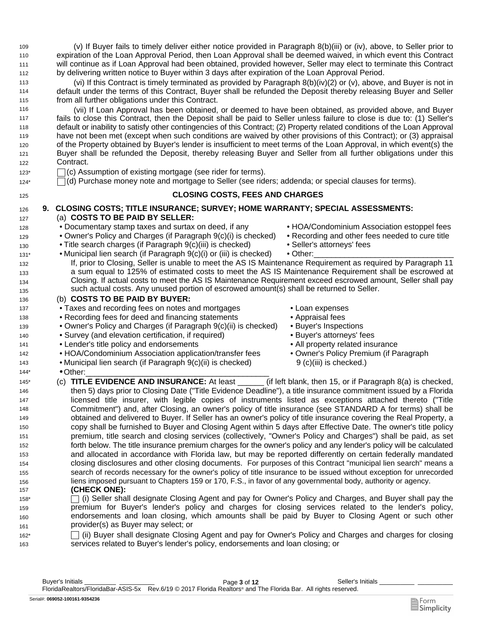| 109    | (v) If Buyer fails to timely deliver either notice provided in Paragraph 8(b)(iii) or (iv), above, to Seller prior to                                                                                      |  |
|--------|------------------------------------------------------------------------------------------------------------------------------------------------------------------------------------------------------------|--|
| 110    | expiration of the Loan Approval Period, then Loan Approval shall be deemed waived, in which event this Contract                                                                                            |  |
| 111    | will continue as if Loan Approval had been obtained, provided however, Seller may elect to terminate this Contract                                                                                         |  |
| 112    | by delivering written notice to Buyer within 3 days after expiration of the Loan Approval Period.                                                                                                          |  |
| 113    | (vi) If this Contract is timely terminated as provided by Paragraph 8(b)(iv)(2) or (v), above, and Buyer is not in                                                                                         |  |
| 114    | default under the terms of this Contract, Buyer shall be refunded the Deposit thereby releasing Buyer and Seller                                                                                           |  |
| 115    | from all further obligations under this Contract.                                                                                                                                                          |  |
| 116    | (vii) If Loan Approval has been obtained, or deemed to have been obtained, as provided above, and Buyer                                                                                                    |  |
| 117    | fails to close this Contract, then the Deposit shall be paid to Seller unless failure to close is due to: (1) Seller's                                                                                     |  |
| 118    | default or inability to satisfy other contingencies of this Contract; (2) Property related conditions of the Loan Approval                                                                                 |  |
| 119    | have not been met (except when such conditions are waived by other provisions of this Contract); or (3) appraisal                                                                                          |  |
| 120    | of the Property obtained by Buyer's lender is insufficient to meet terms of the Loan Approval, in which event(s) the                                                                                       |  |
| 121    | Buyer shall be refunded the Deposit, thereby releasing Buyer and Seller from all further obligations under this                                                                                            |  |
| 122    | Contract.                                                                                                                                                                                                  |  |
| $123*$ | $\overline{a}$ (c) Assumption of existing mortgage (see rider for terms).                                                                                                                                  |  |
| $124*$ | $\overline{\phantom{a}}$ (d) Purchase money note and mortgage to Seller (see riders; addenda; or special clauses for terms).                                                                               |  |
| 125    | <b>CLOSING COSTS, FEES AND CHARGES</b>                                                                                                                                                                     |  |
| 126    | 9. CLOSING COSTS; TITLE INSURANCE; SURVEY; HOME WARRANTY; SPECIAL ASSESSMENTS:                                                                                                                             |  |
| 127    | (a) COSTS TO BE PAID BY SELLER:                                                                                                                                                                            |  |
| 128    | • Documentary stamp taxes and surtax on deed, if any<br>• HOA/Condominium Association estoppel fees                                                                                                        |  |
| 129    | • Owner's Policy and Charges (if Paragraph 9(c)(i) is checked)<br>• Recording and other fees needed to cure title                                                                                          |  |
| 130    | • Title search charges (if Paragraph 9(c)(iii) is checked)<br>• Seller's attorneys' fees                                                                                                                   |  |
| $131*$ | • Municipal lien search (if Paragraph 9(c)(i) or (iii) is checked)<br>• Other:                                                                                                                             |  |
| 132    | If, prior to Closing, Seller is unable to meet the AS IS Maintenance Requirement as required by Paragraph 11                                                                                               |  |
| 133    | a sum equal to 125% of estimated costs to meet the AS IS Maintenance Requirement shall be escrowed at                                                                                                      |  |
| 134    | Closing. If actual costs to meet the AS IS Maintenance Requirement exceed escrowed amount, Seller shall pay                                                                                                |  |
| 135    | such actual costs. Any unused portion of escrowed amount(s) shall be returned to Seller.                                                                                                                   |  |
| 136    | (b) COSTS TO BE PAID BY BUYER:                                                                                                                                                                             |  |
| 137    | • Taxes and recording fees on notes and mortgages<br>• Loan expenses                                                                                                                                       |  |
| 138    | • Recording fees for deed and financing statements<br>• Appraisal fees                                                                                                                                     |  |
| 139    | • Owner's Policy and Charges (if Paragraph 9(c)(ii) is checked)<br>• Buyer's Inspections                                                                                                                   |  |
| 140    | • Survey (and elevation certification, if required)<br>• Buyer's attorneys' fees                                                                                                                           |  |
| 141    | • Lender's title policy and endorsements<br>• All property related insurance                                                                                                                               |  |
| 142    | · Owner's Policy Premium (if Paragraph<br>• HOA/Condominium Association application/transfer fees                                                                                                          |  |
| 143    | • Municipal lien search (if Paragraph 9(c)(ii) is checked)<br>9 (c)(iii) is checked.)                                                                                                                      |  |
| $144*$ | •Other:                                                                                                                                                                                                    |  |
| $145*$ | (c) TITLE EVIDENCE AND INSURANCE: At least ______ (if left blank, then 15, or if Paragraph 8(a) is checked,                                                                                                |  |
| 146    | then 5) days prior to Closing Date ("Title Evidence Deadline"), a title insurance commitment issued by a Florida                                                                                           |  |
| 147    | licensed title insurer, with legible copies of instruments listed as exceptions attached thereto ("Title                                                                                                   |  |
| 148    | Commitment") and, after Closing, an owner's policy of title insurance (see STANDARD A for terms) shall be                                                                                                  |  |
| 149    | obtained and delivered to Buyer. If Seller has an owner's policy of title insurance covering the Real Property, a                                                                                          |  |
| 150    | copy shall be furnished to Buyer and Closing Agent within 5 days after Effective Date. The owner's title policy                                                                                            |  |
| 151    | premium, title search and closing services (collectively, "Owner's Policy and Charges") shall be paid, as set                                                                                              |  |
| 152    | forth below. The title insurance premium charges for the owner's policy and any lender's policy will be calculated                                                                                         |  |
| 153    | and allocated in accordance with Florida law, but may be reported differently on certain federally mandated                                                                                                |  |
| 154    | closing disclosures and other closing documents. For purposes of this Contract "municipal lien search" means a                                                                                             |  |
| 155    | search of records necessary for the owner's policy of title insurance to be issued without exception for unrecorded                                                                                        |  |
| 156    | liens imposed pursuant to Chapters 159 or 170, F.S., in favor of any governmental body, authority or agency.                                                                                               |  |
| 157    | (CHECK ONE):                                                                                                                                                                                               |  |
| 158*   | (i) Seller shall designate Closing Agent and pay for Owner's Policy and Charges, and Buyer shall pay the                                                                                                   |  |
| 159    | premium for Buyer's lender's policy and charges for closing services related to the lender's policy,<br>endorsements and loan closing, which amounts shall be paid by Buyer to Closing Agent or such other |  |
| 160    | provider(s) as Buyer may select; or                                                                                                                                                                        |  |
| 161    |                                                                                                                                                                                                            |  |
| $162*$ | (ii) Buyer shall designate Closing Agent and pay for Owner's Policy and Charges and charges for closing<br>services related to Buyer's lender's policy, endorsements and loan closing; or                  |  |
| 163    |                                                                                                                                                                                                            |  |

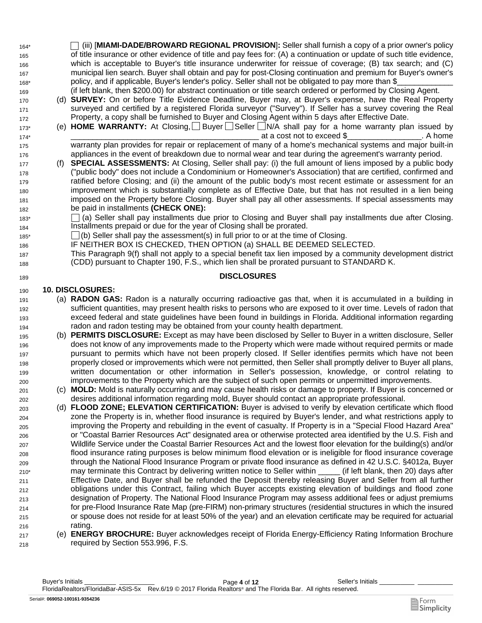- (iii) [**MIAMI-DADE/BROWARD REGIONAL PROVISION**]**:** Seller shall furnish a copy of a prior owner's policy of title insurance or other evidence of title and pay fees for: (A) a continuation or update of such title evidence, which is acceptable to Buyer's title insurance underwriter for reissue of coverage; (B) tax search; and (C) municipal lien search. Buyer shall obtain and pay for post-Closing continuation and premium for Buyer's owner's policy, and if applicable, Buyer's lender's policy. Seller shall not be obligated to pay more than \$
- (if left blank, then \$200.00) for abstract continuation or title search ordered or performed by Closing Agent. 169 (d) **SURVEY:** On or before Title Evidence Deadline, Buyer may, at Buyer's expense, have the Real Property surveyed and certified by a registered Florida surveyor ("Survey"). If Seller has a survey covering the Real Property, a copy shall be furnished to Buyer and Closing Agent within 5 days after Effective Date. 170 171 172
- (e) **HOME WARRANTY:** At Closing,  $\Box$  Buyer  $\Box$  Seller  $\Box$  N/A shall pay for a home warranty plan issued by at a cost not to exceed \$. warranty plan provides for repair or replacement of many of a home's mechanical systems and major built-in 173\* 174\* 175
- appliances in the event of breakdown due to normal wear and tear during the agreement's warranty period. 176 **SPECIAL ASSESSMENTS:** At Closing, Seller shall pay: (i) the full amount of liens imposed by a public body ("public body" does not include a Condominium or Homeowner's Association) that are certified, confirmed and ratified before Closing; and (ii) the amount of the public body's most recent estimate or assessment for an improvement which is substantially complete as of Effective Date, but that has not resulted in a lien being imposed on the Property before Closing. Buyer shall pay all other assessments. If special assessments may be paid in installments **(CHECK ONE):** 177 178 179 180 181 182
	- $\Box$  (a) Seller shall pay installments due prior to Closing and Buyer shall pay installments due after Closing. Installments prepaid or due for the year of Closing shall be prorated.
- $185^*$  (b) Seller shall pay the assessment(s) in full prior to or at the time of Closing.
- <sup>186</sup> IF NEITHER BOX IS CHECKED, THEN OPTION (a) SHALL BE DEEMED SELECTED.
	- This Paragraph 9(f) shall not apply to a special benefit tax lien imposed by a community development district (CDD) pursuant to Chapter 190, F.S., which lien shall be prorated pursuant to STANDARD K.

## <sup>189</sup> **DISCLOSURES**

## <sup>190</sup> **10. DISCLOSURES:**

164\* 165 166 167 168\*

183\* 184

187 188

201 202

- (a) **RADON GAS:** Radon is a naturally occurring radioactive gas that, when it is accumulated in a building in sufficient quantities, may present health risks to persons who are exposed to it over time. Levels of radon that exceed federal and state guidelines have been found in buildings in Florida. Additional information regarding radon and radon testing may be obtained from your county health department.
- (b) **PERMITS DISCLOSURE:** Except as may have been disclosed by Seller to Buyer in a written disclosure, Seller does not know of any improvements made to the Property which were made without required permits or made pursuant to permits which have not been properly closed. If Seller identifies permits which have not been properly closed or improvements which were not permitted, then Seller shall promptly deliver to Buyer all plans, written documentation or other information in Seller's possession, knowledge, or control relating to improvements to the Property which are the subject of such open permits or unpermitted improvements.
	- (c) **MOLD:** Mold is naturally occurring and may cause health risks or damage to property. If Buyer is concerned or desires additional information regarding mold, Buyer should contact an appropriate professional.
- (d) **FLOOD ZONE; ELEVATION CERTIFICATION:** Buyer is advised to verify by elevation certificate which flood zone the Property is in, whether flood insurance is required by Buyer's lender, and what restrictions apply to improving the Property and rebuilding in the event of casualty. If Property is in a "Special Flood Hazard Area" or "Coastal Barrier Resources Act" designated area or otherwise protected area identified by the U.S. Fish and Wildlife Service under the Coastal Barrier Resources Act and the lowest floor elevation for the building(s) and/or flood insurance rating purposes is below minimum flood elevation or is ineligible for flood insurance coverage through the National Flood Insurance Program or private flood insurance as defined in 42 U.S.C. §4012a, Buyer may terminate this Contract by delivering written notice to Seller within (if left blank, then 20) days after Effective Date, and Buyer shall be refunded the Deposit thereby releasing Buyer and Seller from all further obligations under this Contract, failing which Buyer accepts existing elevation of buildings and flood zone designation of Property. The National Flood Insurance Program may assess additional fees or adjust premiums for pre-Flood Insurance Rate Map (pre-FIRM) non-primary structures (residential structures in which the insured or spouse does not reside for at least 50% of the year) and an elevation certificate may be required for actuarial rating. 210\*
- (e) **ENERGY BROCHURE:** Buyer acknowledges receipt of Florida Energy-Efficiency Rating Information Brochure required by Section 553.996, F.S. 217 218

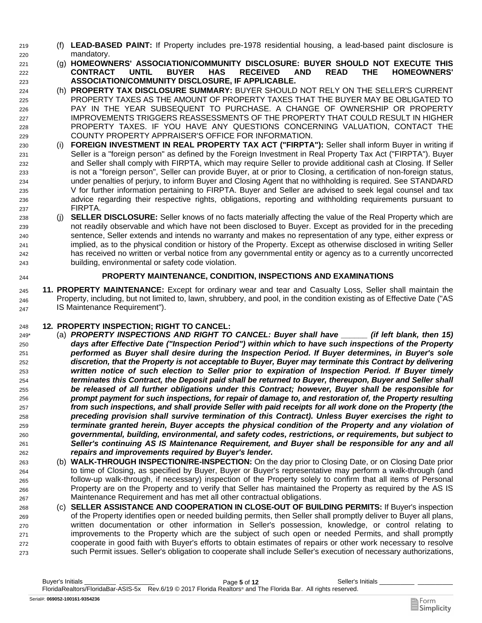- (f) **LEAD-BASED PAINT:** If Property includes pre-1978 residential housing, a lead-based paint disclosure is mandatory. 219 220
- (g) **HOMEOWNERS' ASSOCIATION/COMMUNITY DISCLOSURE: BUYER SHOULD NOT EXECUTE THIS CONTRACT UNTIL BUYER HAS RECEIVED AND READ THE HOMEOWNERS' ASSOCIATION/COMMUNITY DISCLOSURE, IF APPLICABLE.** 221 222 223
- (h) **PROPERTY TAX DISCLOSURE SUMMARY:** BUYER SHOULD NOT RELY ON THE SELLER'S CURRENT PROPERTY TAXES AS THE AMOUNT OF PROPERTY TAXES THAT THE BUYER MAY BE OBLIGATED TO PAY IN THE YEAR SUBSEQUENT TO PURCHASE. A CHANGE OF OWNERSHIP OR PROPERTY IMPROVEMENTS TRIGGERS REASSESSMENTS OF THE PROPERTY THAT COULD RESULT IN HIGHER PROPERTY TAXES. IF YOU HAVE ANY QUESTIONS CONCERNING VALUATION, CONTACT THE COUNTY PROPERTY APPRAISER'S OFFICE FOR INFORMATION. 224 225 226 227 228 229
- (i) **FOREIGN INVESTMENT IN REAL PROPERTY TAX ACT ("FIRPTA"):** Seller shall inform Buyer in writing if Seller is a "foreign person" as defined by the Foreign Investment in Real Property Tax Act ("FIRPTA"). Buyer and Seller shall comply with FIRPTA, which may require Seller to provide additional cash at Closing. If Seller is not a "foreign person", Seller can provide Buyer, at or prior to Closing, a certification of non-foreign status, under penalties of perjury, to inform Buyer and Closing Agent that no withholding is required. See STANDARD V for further information pertaining to FIRPTA. Buyer and Seller are advised to seek legal counsel and tax advice regarding their respective rights, obligations, reporting and withholding requirements pursuant to FIRPTA. 230 231 232 233 234 235 236 237
- (j) **SELLER DISCLOSURE:** Seller knows of no facts materially affecting the value of the Real Property which are not readily observable and which have not been disclosed to Buyer. Except as provided for in the preceding sentence, Seller extends and intends no warranty and makes no representation of any type, either express or implied, as to the physical condition or history of the Property. Except as otherwise disclosed in writing Seller has received no written or verbal notice from any governmental entity or agency as to a currently uncorrected building, environmental or safety code violation. 238 239 240 241 242 243

## <sup>244</sup> **PROPERTY MAINTENANCE, CONDITION, INSPECTIONS AND EXAMINATIONS**

**11. PROPERTY MAINTENANCE:** Except for ordinary wear and tear and Casualty Loss, Seller shall maintain the Property, including, but not limited to, lawn, shrubbery, and pool, in the condition existing as of Effective Date ("AS IS Maintenance Requirement"). 245 246 247

## <sup>248</sup> **12. .PROPERTY INSPECTION; RIGHT TO CANCEL:**

- (a) **PROPERTY INSPECTIONS AND RIGHT TO CANCEL: Buyer shall have** *(if left blank, then 15)**(a)**i days after Effective Date ("Inspection Period") within which to have such inspections of the Property performed* **as** *Buyer shall desire during the Inspection Period. If Buyer determines, in Buyer's sole discretion, that the Property is not acceptable to Buyer, Buyer may terminate this Contract by delivering written notice of such election to Seller prior to expiration of Inspection Period. If Buyer timely terminates this Contract, the Deposit paid shall be returned to Buyer, thereupon, Buyer and Seller shall be released of all further obligations under this Contract; however, Buyer shall be responsible for prompt payment for such inspections, for repair of damage to, and restoration of, the Property resulting*  from such inspections, and shall provide Seller with paid receipts for all work done on the Property (the *preceding provision shall survive termination of this Contract). Unless Buyer exercises the right to terminate granted herein, Buyer accepts the physical condition of the Property and any violation of governmental, building, environmental, and safety codes, restrictions, or requirements, but subject to Seller's continuing AS IS Maintenance Requirement, and Buyer shall be responsible for any and all repairs and improvements required by Buyer's lender.* 249\* 250 251 252 253 254 255 256 257 258 259 260 261 262
	- (b) **WALK-THROUGH INSPECTION/RE-INSPECTION:** On the day prior to Closing Date, or on Closing Date prior to time of Closing, as specified by Buyer, Buyer or Buyer's representative may perform a walk-through (and follow-up walk-through, if necessary) inspection of the Property solely to confirm that all items of Personal Property are on the Property and to verify that Seller has maintained the Property as required by the AS IS Maintenance Requirement and has met all other contractual obligations.
	- (c) **SELLER ASSISTANCE AND COOPERATION IN CLOSE-OUT OF BUILDING PERMITS:** If Buyer's inspection of the Property identifies open or needed building permits, then Seller shall promptly deliver to Buyer all plans, written documentation or other information in Seller's possession, knowledge, or control relating to improvements to the Property which are the subject of such open or needed Permits, and shall promptly cooperate in good faith with Buyer's efforts to obtain estimates of repairs or other work necessary to resolve such Permit issues. Seller's obligation to cooperate shall include Seller's execution of necessary authorizations,

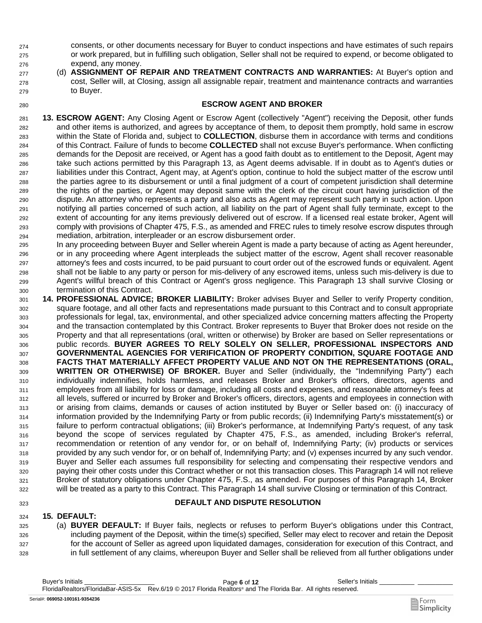- consents, or other documents necessary for Buyer to conduct inspections and have estimates of such repairs or work prepared, but in fulfilling such obligation, Seller shall not be required to expend, or become obligated to expend, any money. 274 275 276
- (d) **ASSIGNMENT OF REPAIR AND TREATMENT CONTRACTS AND WARRANTIES:** At Buyer's option and cost, Seller will, at Closing, assign all assignable repair, treatment and maintenance contracts and warranties to Buyer. 277 278 279

## <sup>280</sup> **ESCROW AGENT AND BROKER**

- **13. ESCROW AGENT:** Any Closing Agent or Escrow Agent (collectively "Agent") receiving the Deposit, other funds and other items is authorized, and agrees by acceptance of them, to deposit them promptly, hold same in escrow within the State of Florida and, subject to **COLLECTION**, disburse them in accordance with terms and conditions of this Contract. Failure of funds to become **COLLECTED** shall not excuse Buyer's performance. When conflicting demands for the Deposit are received, or Agent has a good faith doubt as to entitlement to the Deposit, Agent may take such actions permitted by this Paragraph 13, as Agent deems advisable. If in doubt as to Agent's duties or liabilities under this Contract, Agent may, at Agent's option, continue to hold the subject matter of the escrow until the parties agree to its disbursement or until a final judgment of a court of competent jurisdiction shall determine the rights of the parties, or Agent may deposit same with the clerk of the circuit court having jurisdiction of the dispute. An attorney who represents a party and also acts as Agent may represent such party in such action. Upon notifying all parties concerned of such action, all liability on the part of Agent shall fully terminate, except to the extent of accounting for any items previously delivered out of escrow. If a licensed real estate broker, Agent will comply with provisions of Chapter 475, F.S., as amended and FREC rules to timely resolve escrow disputes through mediation, arbitration, interpleader or an escrow disbursement order. 281 282 283 284 285 286 287 288 289 290 291 292 293 294
- In any proceeding between Buyer and Seller wherein Agent is made a party because of acting as Agent hereunder, or in any proceeding where Agent interpleads the subject matter of the escrow, Agent shall recover reasonable attorney's fees and costs incurred, to be paid pursuant to court order out of the escrowed funds or equivalent. Agent shall not be liable to any party or person for mis-delivery of any escrowed items, unless such mis-delivery is due to Agent's willful breach of this Contract or Agent's gross negligence. This Paragraph 13 shall survive Closing or termination of this Contract. 295 296 297 298 299 300
- **14. PROFESSIONAL ADVICE; BROKER LIABILITY:** Broker advises Buyer and Seller to verify Property condition, square footage, and all other facts and representations made pursuant to this Contract and to consult appropriate professionals for legal, tax, environmental, and other specialized advice concerning matters affecting the Property and the transaction contemplated by this Contract. Broker represents to Buyer that Broker does not reside on the Property and that all representations (oral, written or otherwise) by Broker are based on Seller representations or public records. **BUYER AGREES TO RELY SOLELY ON SELLER, PROFESSIONAL INSPECTORS AND GOVERNMENTAL AGENCIES FOR VERIFICATION OF PROPERTY CONDITION, SQUARE FOOTAGE AND FACTS THAT MATERIALLY AFFECT PROPERTY VALUE AND NOT ON THE REPRESENTATIONS (ORAL, WRITTEN OR OTHERWISE) OF BROKER.** Buyer and Seller (individually, the "Indemnifying Party") each individually indemnifies, holds harmless, and releases Broker and Broker's officers, directors, agents and employees from all liability for loss or damage, including all costs and expenses, and reasonable attorney's fees at all levels, suffered or incurred by Broker and Broker's officers, directors, agents and employees in connection with or arising from claims, demands or causes of action instituted by Buyer or Seller based on: (i) inaccuracy of information provided by the Indemnifying Party or from public records; (ii) Indemnifying Party's misstatement(s) or failure to perform contractual obligations; (iii) Broker's performance, at Indemnifying Party's request, of any task beyond the scope of services regulated by Chapter 475, F.S., as amended, including Broker's referral, recommendation or retention of any vendor for, or on behalf of, Indemnifying Party; (iv) products or services provided by any such vendor for, or on behalf of, Indemnifying Party; and (v) expenses incurred by any such vendor. Buyer and Seller each assumes full responsibility for selecting and compensating their respective vendors and paying their other costs under this Contract whether or not this transaction closes. This Paragraph 14 will not relieve Broker of statutory obligations under Chapter 475, F.S., as amended. For purposes of this Paragraph 14, Broker will be treated as a party to this Contract. This Paragraph 14 shall survive Closing or termination of this Contract. 301 302 303 304 305 306 307 308 309 310 311 312 313 314 315 316 317 318 319 320 321 322
- 

## <sup>323</sup> **DEFAULT AND DISPUTE RESOLUTION**

## <sup>324</sup> **15. .DEFAULT:**

(a) **BUYER DEFAULT:** If Buyer fails, neglects or refuses to perform Buyer's obligations under this Contract, including payment of the Deposit, within the time(s) specified, Seller may elect to recover and retain the Deposit for the account of Seller as agreed upon liquidated damages, consideration for execution of this Contract, and in full settlement of any claims, whereupon Buyer and Seller shall be relieved from all further obligations under 325 326 327 328

| Buyer's Initials | Page 6 of 12                                                                                                   | Seller's Initials |
|------------------|----------------------------------------------------------------------------------------------------------------|-------------------|
|                  | FloridaRealtors/FloridaBar-ASIS-5x Rev.6/19 © 2017 Florida Realtors® and The Florida Bar. All rights reserved. |                   |

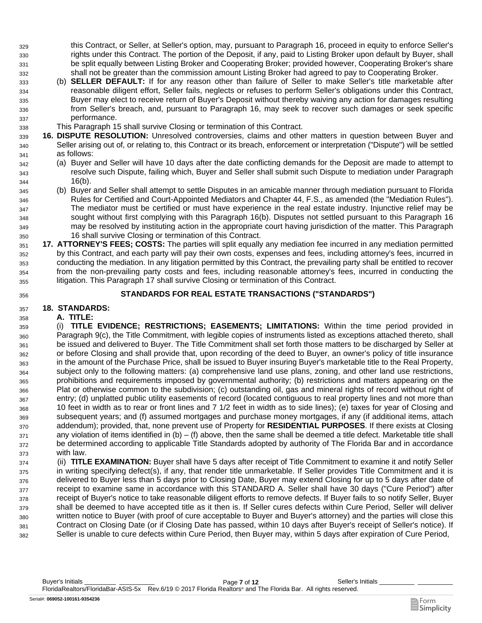this Contract, or Seller, at Seller's option, may, pursuant to Paragraph 16, proceed in equity to enforce Seller's rights under this Contract. The portion of the Deposit, if any, paid to Listing Broker upon default by Buyer, shall be split equally between Listing Broker and Cooperating Broker; provided however, Cooperating Broker's share shall not be greater than the commission amount Listing Broker had agreed to pay to Cooperating Broker. 329 330 331 332

(b) **SELLER DEFAULT:** If for any reason other than failure of Seller to make Seller's title marketable after reasonable diligent effort, Seller fails, neglects or refuses to perform Seller's obligations under this Contract, Buyer may elect to receive return of Buyer's Deposit without thereby waiving any action for damages resulting from Seller's breach, and, pursuant to Paragraph 16, may seek to recover such damages or seek specific performance. 333 334 335 336 337

<sup>338</sup> This Paragraph 15 shall survive Closing or termination of this Contract.

- **16. DISPUTE RESOLUTION:** Unresolved controversies, claims and other matters in question between Buyer and Seller arising out of, or relating to, this Contract or its breach, enforcement or interpretation ("Dispute") will be settled as follows: 339 340 341
- (a) Buyer and Seller will have 10 days after the date conflicting demands for the Deposit are made to attempt to resolve such Dispute, failing which, Buyer and Seller shall submit such Dispute to mediation under Paragraph 16(b). 342 343 344
- (b) Buyer and Seller shall attempt to settle Disputes in an amicable manner through mediation pursuant to Florida Rules for Certified and Court-Appointed Mediators and Chapter 44, F.S., as amended (the "Mediation Rules"). The mediator must be certified or must have experience in the real estate industry. Injunctive relief may be sought without first complying with this Paragraph 16(b). Disputes not settled pursuant to this Paragraph 16 may be resolved by instituting action in the appropriate court having jurisdiction of the matter. This Paragraph 16 shall survive Closing or termination of this Contract. 345 346 347 348 349 350
- **17. ATTORNEY'S FEES; COSTS:** The parties will split equally any mediation fee incurred in any mediation permitted by this Contract, and each party will pay their own costs, expenses and fees, including attorney's fees, incurred in conducting the mediation. In any litigation permitted by this Contract, the prevailing party shall be entitled to recover from the non-prevailing party costs and fees, including reasonable attorney's fees, incurred in conducting the litigation. This Paragraph 17 shall survive Closing or termination of this Contract. 351 352 353 354 355

## <sup>356</sup> **STANDARDS FOR REAL ESTATE TRANSACTIONS ("STANDARDS")**

## <sup>357</sup> **18. STANDARDS:**

## <sup>358</sup> **A. TITLE:**

(i) **TITLE EVIDENCE; RESTRICTIONS; EASEMENTS; LIMITATIONS:** Within the time period provided in Paragraph 9(c), the Title Commitment, with legible copies of instruments listed as exceptions attached thereto, shall be issued and delivered to Buyer. The Title Commitment shall set forth those matters to be discharged by Seller at or before Closing and shall provide that, upon recording of the deed to Buyer, an owner's policy of title insurance in the amount of the Purchase Price, shall be issued to Buyer insuring Buyer's marketable title to the Real Property, subject only to the following matters: (a) comprehensive land use plans, zoning, and other land use restrictions, prohibitions and requirements imposed by governmental authority; (b) restrictions and matters appearing on the Plat or otherwise common to the subdivision; (c) outstanding oil, gas and mineral rights of record without right of entry; (d) unplatted public utility easements of record (located contiguous to real property lines and not more than 10 feet in width as to rear or front lines and 7 1/2 feet in width as to side lines); (e) taxes for year of Closing and subsequent years; and (f) assumed mortgages and purchase money mortgages, if any (if additional items, attach addendum); provided, that, none prevent use of Property for **RESIDENTIAL PURPOSES**. If there exists at Closing any violation of items identified in  $(b) - (f)$  above, then the same shall be deemed a title defect. Marketable title shall be determined according to applicable Title Standards adopted by authority of The Florida Bar and in accordance with law. 359 360 361 362 363 364 365 366 367 368 369 370 371 372 373

(ii) **TITLE EXAMINATION:** Buyer shall have 5 days after receipt of Title Commitment to examine it and notify Seller in writing specifying defect(s), if any, that render title unmarketable. If Seller provides Title Commitment and it is delivered to Buyer less than 5 days prior to Closing Date, Buyer may extend Closing for up to 5 days after date of receipt to examine same in accordance with this STANDARD A. Seller shall have 30 days ("Cure Period") after receipt of Buyer's notice to take reasonable diligent efforts to remove defects. If Buyer fails to so notify Seller, Buyer shall be deemed to have accepted title as it then is. If Seller cures defects within Cure Period, Seller will deliver written notice to Buyer (with proof of cure acceptable to Buyer and Buyer's attorney) and the parties will close this Contract on Closing Date (or if Closing Date has passed, within 10 days after Buyer's receipt of Seller's notice). If Seller is unable to cure defects within Cure Period, then Buyer may, within 5 days after expiration of Cure Period, 374 375 376 377 378 379 380 381 382

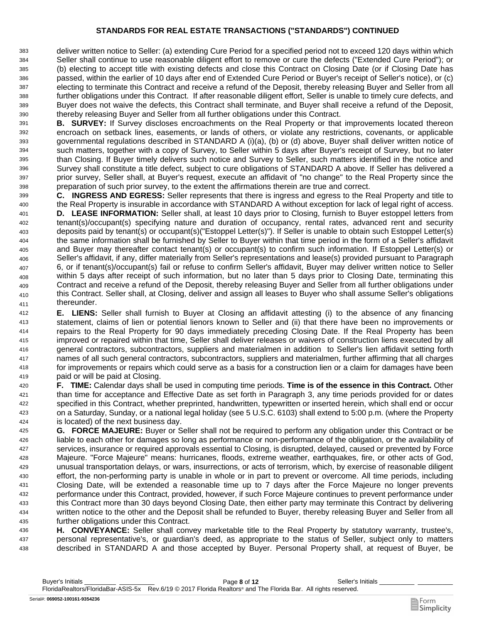deliver written notice to Seller: (a) extending Cure Period for a specified period not to exceed 120 days within which Seller shall continue to use reasonable diligent effort to remove or cure the defects ("Extended Cure Period"); or (b) electing to accept title with existing defects and close this Contract on Closing Date (or if Closing Date has passed, within the earlier of 10 days after end of Extended Cure Period or Buyer's receipt of Seller's notice), or (c) electing to terminate this Contract and receive a refund of the Deposit, thereby releasing Buyer and Seller from all further obligations under this Contract. If after reasonable diligent effort, Seller is unable to timely cure defects, and Buyer does not waive the defects, this Contract shall terminate, and Buyer shall receive a refund of the Deposit, thereby releasing Buyer and Seller from all further obligations under this Contract. 383 384 385 386 387 388 389 390

**B. SURVEY:** If Survey discloses encroachments on the Real Property or that improvements located thereon encroach on setback lines, easements, or lands of others, or violate any restrictions, covenants, or applicable governmental regulations described in STANDARD A (i)(a), (b) or (d) above, Buyer shall deliver written notice of such matters, together with a copy of Survey, to Seller within 5 days after Buyer's receipt of Survey, but no later than Closing. If Buyer timely delivers such notice and Survey to Seller, such matters identified in the notice and Survey shall constitute a title defect, subject to cure obligations of STANDARD A above. If Seller has delivered a prior survey, Seller shall, at Buyer's request, execute an affidavit of "no change" to the Real Property since the preparation of such prior survey, to the extent the affirmations therein are true and correct. 391 392 393 394 395 396 397 398

**C. INGRESS AND EGRESS:** Seller represents that there is ingress and egress to the Real Property and title to the Real Property is insurable in accordance with STANDARD A without exception for lack of legal right of access. 399 400 **D. LEASE INFORMATION:** Seller shall, at least 10 days prior to Closing, furnish to Buyer estoppel letters from tenant(s)/occupant(s) specifying nature and duration of occupancy, rental rates, advanced rent and security deposits paid by tenant(s) or occupant(s)("Estoppel Letter(s)"). If Seller is unable to obtain such Estoppel Letter(s) the same information shall be furnished by Seller to Buyer within that time period in the form of a Seller's affidavit and Buyer may thereafter contact tenant(s) or occupant(s) to confirm such information. If Estoppel Letter(s) or Seller's affidavit, if any, differ materially from Seller's representations and lease(s) provided pursuant to Paragraph 6, or if tenant(s)/occupant(s) fail or refuse to confirm Seller's affidavit, Buyer may deliver written notice to Seller within 5 days after receipt of such information, but no later than 5 days prior to Closing Date, terminating this Contract and receive a refund of the Deposit, thereby releasing Buyer and Seller from all further obligations under this Contract. Seller shall, at Closing, deliver and assign all leases to Buyer who shall assume Seller's obligations thereunder. 401 402 403 404 405 406 407 408 409 410 411

**E. LIENS:** Seller shall furnish to Buyer at Closing an affidavit attesting (i) to the absence of any financing statement, claims of lien or potential lienors known to Seller and (ii) that there have been no improvements or repairs to the Real Property for 90 days immediately preceding Closing Date. If the Real Property has been improved or repaired within that time, Seller shall deliver releases or waivers of construction liens executed by all general contractors, subcontractors, suppliers and materialmen in addition to Seller's lien affidavit setting forth names of all such general contractors, subcontractors, suppliers and materialmen, further affirming that all charges for improvements or repairs which could serve as a basis for a construction lien or a claim for damages have been paid or will be paid at Closing. 412 413 414 415 416 417 418 419

**F. TIME:** Calendar days shall be used in computing time periods. **Time is of the essence in this Contract.** Other than time for acceptance and Effective Date as set forth in Paragraph 3, any time periods provided for or dates specified in this Contract, whether preprinted, handwritten, typewritten or inserted herein, which shall end or occur on a Saturday, Sunday, or a national legal holiday (see 5 U.S.C. 6103) shall extend to 5:00 p.m. (where the Property is located) of the next business day. 420 421 422 423 424

**G. FORCE MAJEURE:** Buyer or Seller shall not be required to perform any obligation under this Contract or be liable to each other for damages so long as performance or non-performance of the obligation, or the availability of services, insurance or required approvals essential to Closing, is disrupted, delayed, caused or prevented by Force Majeure. "Force Majeure" means: hurricanes, floods, extreme weather, earthquakes, fire, or other acts of God, unusual transportation delays, or wars, insurrections, or acts of terrorism, which, by exercise of reasonable diligent effort, the non-performing party is unable in whole or in part to prevent or overcome. All time periods, including Closing Date, will be extended a reasonable time up to 7 days after the Force Majeure no longer prevents performance under this Contract, provided, however, if such Force Majeure continues to prevent performance under this Contract more than 30 days beyond Closing Date, then either party may terminate this Contract by delivering written notice to the other and the Deposit shall be refunded to Buyer, thereby releasing Buyer and Seller from all further obligations under this Contract. 425 426 427 428 429 430 431 432 433 434 435

**H. CONVEYANCE:** Seller shall convey marketable title to the Real Property by statutory warranty, trustee's, personal representative's, or guardian's deed, as appropriate to the status of Seller, subject only to matters described in STANDARD A and those accepted by Buyer. Personal Property shall, at request of Buyer, be 436 437 438

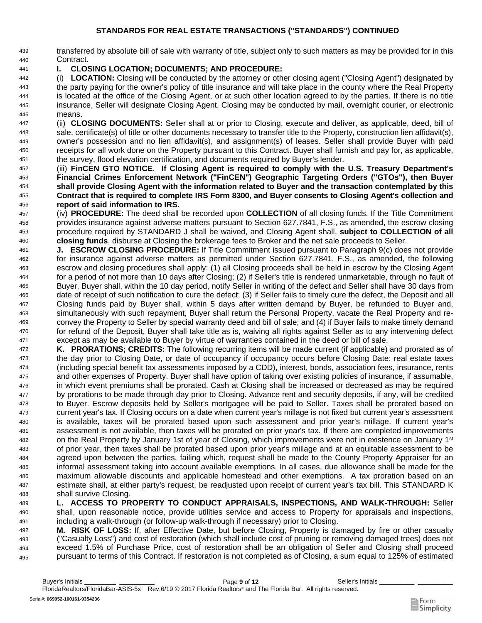transferred by absolute bill of sale with warranty of title, subject only to such matters as may be provided for in this Contract. 439 440

## <sup>441</sup> **I. CLOSING LOCATION; DOCUMENTS; AND PROCEDURE:**

(i) **LOCATION:** Closing will be conducted by the attorney or other closing agent ("Closing Agent") designated by the party paying for the owner's policy of title insurance and will take place in the county where the Real Property is located at the office of the Closing Agent, or at such other location agreed to by the parties. If there is no title insurance, Seller will designate Closing Agent. Closing may be conducted by mail, overnight courier, or electronic means. 442 443 444 445 446

(ii) **CLOSING DOCUMENTS:** Seller shall at or prior to Closing, execute and deliver, as applicable, deed, bill of sale, certificate(s) of title or other documents necessary to transfer title to the Property, construction lien affidavit(s), owner's possession and no lien affidavit(s), and assignment(s) of leases. Seller shall provide Buyer with paid receipts for all work done on the Property pursuant to this Contract. Buyer shall furnish and pay for, as applicable, the survey, flood elevation certification, and documents required by Buyer's lender. 447 448 449 450 451

- (iii) **FinCEN GTO NOTICE**. **If Closing Agent is required to comply with the U.S. Treasury Department's Financial Crimes Enforcement Network ("FinCEN") Geographic Targeting Orders ("GTOs"), then Buyer shall provide Closing Agent with the information related to Buyer and the transaction contemplated by this**  Contract that is required to complete IRS Form 8300, and Buyer consents to Closing Agent's collection and **report of said information to IRS.** 452 453 454 455 456
- (iv) **PROCEDURE:** The deed shall be recorded upon **COLLECTION** of all closing funds. If the Title Commitment provides insurance against adverse matters pursuant to Section 627.7841, F.S., as amended, the escrow closing procedure required by STANDARD J shall be waived, and Closing Agent shall, **subject to COLLECTION of all closing funds**, disburse at Closing the brokerage fees to Broker and the net sale proceeds to Seller. 457 458 459 460
- 461 462 463 464 465 466 467 468 469 470 471 **J. ESCROW CLOSING PROCEDURE:** If Title Commitment issued pursuant to Paragraph 9(c) does not provide for insurance against adverse matters as permitted under Section 627.7841, F.S., as amended, the following escrow and closing procedures shall apply: (1) all Closing proceeds shall be held in escrow by the Closing Agent for a period of not more than 10 days after Closing; (2) if Seller's title is rendered unmarketable, through no fault of Buyer, Buyer shall, within the 10 day period, notify Seller in writing of the defect and Seller shall have 30 days from date of receipt of such notification to cure the defect; (3) if Seller fails to timely cure the defect, the Deposit and all Closing funds paid by Buyer shall, within 5 days after written demand by Buyer, be refunded to Buyer and, simultaneously with such repayment, Buyer shall return the Personal Property, vacate the Real Property and reconvey the Property to Seller by special warranty deed and bill of sale; and (4) if Buyer fails to make timely demand for refund of the Deposit, Buyer shall take title as is, waiving all rights against Seller as to any intervening defect except as may be available to Buyer by virtue of warranties contained in the deed or bill of sale.
- **K. PRORATIONS; CREDITS:** The following recurring items will be made current (if applicable) and prorated as of the day prior to Closing Date, or date of occupancy if occupancy occurs before Closing Date: real estate taxes (including special benefit tax assessments imposed by a CDD), interest, bonds, association fees, insurance, rents and other expenses of Property. Buyer shall have option of taking over existing policies of insurance, if assumable, in which event premiums shall be prorated. Cash at Closing shall be increased or decreased as may be required by prorations to be made through day prior to Closing. Advance rent and security deposits, if any, will be credited to Buyer. Escrow deposits held by Seller's mortgagee will be paid to Seller. Taxes shall be prorated based on current year's tax. If Closing occurs on a date when current year's millage is not fixed but current year's assessment is available, taxes will be prorated based upon such assessment and prior year's millage. If current year's assessment is not available, then taxes will be prorated on prior year's tax. If there are completed improvements on the Real Property by January 1st of year of Closing, which improvements were not in existence on January 1st of prior year, then taxes shall be prorated based upon prior year's millage and at an equitable assessment to be agreed upon between the parties, failing which, request shall be made to the County Property Appraiser for an informal assessment taking into account available exemptions. In all cases, due allowance shall be made for the maximum allowable discounts and applicable homestead and other exemptions. A tax proration based on an estimate shall, at either party's request, be readjusted upon receipt of current year's tax bill. This STANDARD K shall survive Closing. 472 473 474 475 476 477 478 479 480 481 482 483 484 485 486 487 488

**L. ACCESS TO PROPERTY TO CONDUCT APPRAISALS, INSPECTIONS, AND WALK-THROUGH:** Seller shall, upon reasonable notice, provide utilities service and access to Property for appraisals and inspections, including a walk-through (or follow-up walk-through if necessary) prior to Closing. 489 490 491

**M. RISK OF LOSS:** If, after Effective Date, but before Closing, Property is damaged by fire or other casualty ("Casualty Loss") and cost of restoration (which shall include cost of pruning or removing damaged trees) does not exceed 1.5% of Purchase Price, cost of restoration shall be an obligation of Seller and Closing shall proceed pursuant to terms of this Contract. If restoration is not completed as of Closing, a sum equal to 125% of estimated 492 493 494 495

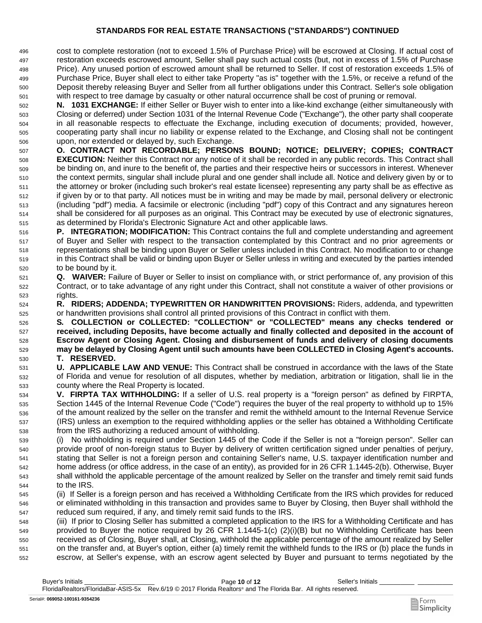cost to complete restoration (not to exceed 1.5% of Purchase Price) will be escrowed at Closing. If actual cost of restoration exceeds escrowed amount, Seller shall pay such actual costs (but, not in excess of 1.5% of Purchase Price). Any unused portion of escrowed amount shall be returned to Seller. If cost of restoration exceeds 1.5% of Purchase Price, Buyer shall elect to either take Property "as is" together with the 1.5%, or receive a refund of the Deposit thereby releasing Buyer and Seller from all further obligations under this Contract. Seller's sole obligation with respect to tree damage by casualty or other natural occurrence shall be cost of pruning or removal. 496 497 498 499 500 501

**N. 1031 EXCHANGE:** If either Seller or Buyer wish to enter into a like-kind exchange (either simultaneously with Closing or deferred) under Section 1031 of the Internal Revenue Code ("Exchange"), the other party shall cooperate in all reasonable respects to effectuate the Exchange, including execution of documents; provided, however, cooperating party shall incur no liability or expense related to the Exchange, and Closing shall not be contingent upon, nor extended or delayed by, such Exchange. 502 503 504 505 506

**O. CONTRACT NOT RECORDABLE; PERSONS BOUND; NOTICE; DELIVERY; COPIES; CONTRACT EXECUTION:** Neither this Contract nor any notice of it shall be recorded in any public records. This Contract shall be binding on, and inure to the benefit of, the parties and their respective heirs or successors in interest. Whenever the context permits, singular shall include plural and one gender shall include all. Notice and delivery given by or to the attorney or broker (including such broker's real estate licensee) representing any party shall be as effective as if given by or to that party. All notices must be in writing and may be made by mail, personal delivery or electronic (including "pdf") media. A facsimile or electronic (including "pdf") copy of this Contract and any signatures hereon shall be considered for all purposes as an original. This Contract may be executed by use of electronic signatures, as determined by Florida's Electronic Signature Act and other applicable laws. 507 508 509 510 511 512 513 514 515

**P. INTEGRATION; MODIFICATION:** This Contract contains the full and complete understanding and agreement of Buyer and Seller with respect to the transaction contemplated by this Contract and no prior agreements or representations shall be binding upon Buyer or Seller unless included in this Contract. No modification to or change in this Contract shall be valid or binding upon Buyer or Seller unless in writing and executed by the parties intended to be bound by it. 516 517 518 519 520

**Q. WAIVER:** Failure of Buyer or Seller to insist on compliance with, or strict performance of, any provision of this Contract, or to take advantage of any right under this Contract, shall not constitute a waiver of other provisions or rights. 521 522 523

**R. RIDERS; ADDENDA; TYPEWRITTEN OR HANDWRITTEN PROVISIONS:** Riders, addenda, and typewritten or handwritten provisions shall control all printed provisions of this Contract in conflict with them. 524 525

**S. COLLECTION or COLLECTED: "COLLECTION" or "COLLECTED" means any checks tendered or received, including Deposits, have become actually and finally collected and deposited in the account of Escrow Agent or Closing Agent. Closing and disbursement of funds and delivery of closing documents may be delayed by Closing Agent until such amounts have been COLLECTED in Closing Agent's accounts.** 526 527 528 529 <sup>530</sup> **T. RESERVED.**

**U. APPLICABLE LAW AND VENUE:** This Contract shall be construed in accordance with the laws of the State of Florida and venue for resolution of all disputes, whether by mediation, arbitration or litigation, shall lie in the county where the Real Property is located. 531 532 533

**V. FIRPTA TAX WITHHOLDING:** If a seller of U.S. real property is a "foreign person" as defined by FIRPTA, Section 1445 of the Internal Revenue Code ("Code") requires the buyer of the real property to withhold up to 15% of the amount realized by the seller on the transfer and remit the withheld amount to the Internal Revenue Service (IRS) unless an exemption to the required withholding applies or the seller has obtained a Withholding Certificate from the IRS authorizing a reduced amount of withholding. 534 535 536 537 538

(i) No withholding is required under Section 1445 of the Code if the Seller is not a "foreign person". Seller can provide proof of non-foreign status to Buyer by delivery of written certification signed under penalties of perjury, stating that Seller is not a foreign person and containing Seller's name, U.S. taxpayer identification number and home address (or office address, in the case of an entity), as provided for in 26 CFR 1.1445-2(b). Otherwise, Buyer shall withhold the applicable percentage of the amount realized by Seller on the transfer and timely remit said funds to the IRS. 539 540 541 542 543 544

(ii) If Seller is a foreign person and has received a Withholding Certificate from the IRS which provides for reduced or eliminated withholding in this transaction and provides same to Buyer by Closing, then Buyer shall withhold the reduced sum required, if any, and timely remit said funds to the IRS. 545 546 547

(iii) If prior to Closing Seller has submitted a completed application to the IRS for a Withholding Certificate and has provided to Buyer the notice required by 26 CFR 1.1445-1(c) (2)(i)(B) but no Withholding Certificate has been received as of Closing, Buyer shall, at Closing, withhold the applicable percentage of the amount realized by Seller on the transfer and, at Buyer's option, either (a) timely remit the withheld funds to the IRS or (b) place the funds in escrow, at Seller's expense, with an escrow agent selected by Buyer and pursuant to terms negotiated by the 548 549 550 551 552

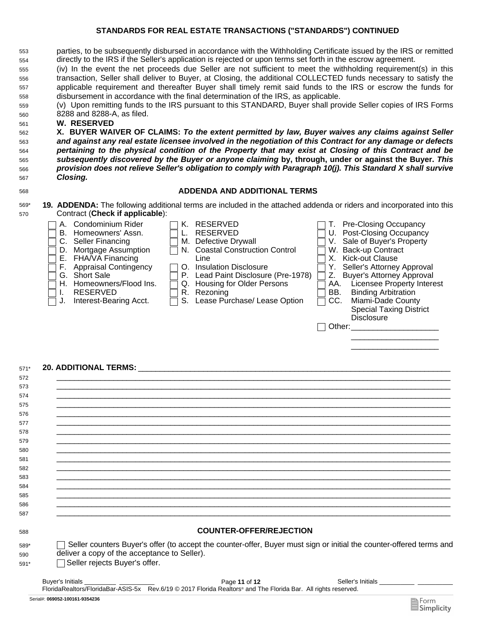- parties, to be subsequently disbursed in accordance with the Withholding Certificate issued by the IRS or remitted directly to the IRS if the Seller's application is rejected or upon terms set forth in the escrow agreement. 553 554
- (iv) In the event the net proceeds due Seller are not sufficient to meet the withholding requirement(s) in this transaction, Seller shall deliver to Buyer, at Closing, the additional COLLECTED funds necessary to satisfy the applicable requirement and thereafter Buyer shall timely remit said funds to the IRS or escrow the funds for disbursement in accordance with the final determination of the IRS, as applicable. 555 556 557 558
- (v) Upon remitting funds to the IRS pursuant to this STANDARD, Buyer shall provide Seller copies of IRS Forms 8288 and 8288-A, as filed. 559 560

## <sup>561</sup> **W. RESERVED**

**X. BUYER WAIVER OF CLAIMS:** *To the extent permitted by law, Buyer waives any claims against Seller and against any real estate licensee involved in the negotiation of this Contract for any damage or defects pertaining to the physical condition of the Property that may exist at Closing of this Contract and be subsequently discovered by the Buyer or anyone claiming* **by, through, under or against the Buyer.** *This provision does not relieve Seller's obligation to comply with Paragraph 10(j). This Standard X shall survive Closing.* 562 563 564 565 566 567

## <sup>568</sup> **ADDENDA AND ADDITIONAL TERMS**

- **19. ADDENDA:** The following additional terms are included in the attached addenda or riders and incorporated into this Contract (**Check if applicable**): 569\* 570
	- A. Condominium Rider B. Homeowners' Assn. C. Seller Financing D. Mortgage Assumption E. FHA/VA Financing F. Appraisal Contingency G. Short Sale H. Homeowners/Flood Ins. I. K. RESERVED L. Line Q. Housing for Older Persons RESERVED RESERVED
		- J. Interest-Bearing Acct.
- 
- M. Defective Drywall
- N. Coastal Construction Control
- 
- O. Insulation Disclosure
- P. Lead Paint Disclosure (Pre-1978)
- 
- R. Rezoning
- S. Lease Purchase/ Lease Option
- T. U. Post-Closing Occupancy V. Sale of Buyer's Property W. Back-up Contract X. Kick-out Clause Y. Seller's Attorney Approval Z. AA. BB. CC. Pre-Closing Occupancy Buyer's Attorney Approval Licensee Property Interest Binding Arbitration  $\Box$  Other: \_\_\_\_\_\_\_\_\_\_\_\_\_\_\_\_\_\_\_\_ \_\_\_\_\_\_\_\_\_\_\_\_\_\_\_\_\_\_\_\_ \_\_\_\_\_\_\_\_\_\_\_\_\_\_\_\_\_\_\_\_ Miami-Dade County Special Taxing District **Disclosure**

| $571*$ |                                                                                                                      |
|--------|----------------------------------------------------------------------------------------------------------------------|
| 572    |                                                                                                                      |
| 573    |                                                                                                                      |
| 574    |                                                                                                                      |
| 575    |                                                                                                                      |
| 576    |                                                                                                                      |
| 577    |                                                                                                                      |
| 578    |                                                                                                                      |
| 579    |                                                                                                                      |
| 580    |                                                                                                                      |
| 581    |                                                                                                                      |
| 582    |                                                                                                                      |
| 583    |                                                                                                                      |
| 584    |                                                                                                                      |
| 585    |                                                                                                                      |
| 586    |                                                                                                                      |
| 587    |                                                                                                                      |
| 588    | <b>COUNTER-OFFER/REJECTION</b>                                                                                       |
| 589*   | Seller counters Buyer's offer (to accept the counter-offer, Buyer must sign or initial the counter-offered terms and |
| 590    | deliver a copy of the acceptance to Seller).                                                                         |
| 591*   | $\Box$ Seller rejects Buyer's offer.                                                                                 |
|        | .                                                                                                                    |